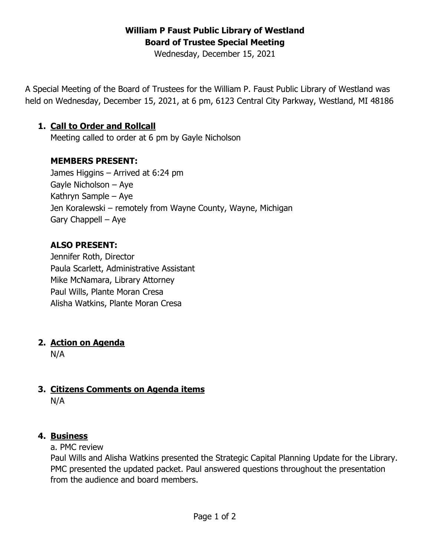# **William P Faust Public Library of Westland Board of Trustee Special Meeting**

Wednesday, December 15, 2021

A Special Meeting of the Board of Trustees for the William P. Faust Public Library of Westland was held on Wednesday, December 15, 2021, at 6 pm, 6123 Central City Parkway, Westland, MI 48186

#### **1. Call to Order and Rollcall**

Meeting called to order at 6 pm by Gayle Nicholson

#### **MEMBERS PRESENT:**

James Higgins – Arrived at 6:24 pm Gayle Nicholson – Aye Kathryn Sample – Aye Jen Koralewski – remotely from Wayne County, Wayne, Michigan Gary Chappell – Aye

#### **ALSO PRESENT:**

Jennifer Roth, Director Paula Scarlett, Administrative Assistant Mike McNamara, Library Attorney Paul Wills, Plante Moran Cresa Alisha Watkins, Plante Moran Cresa

#### **2. Action on Agenda**

N/A

## **3. Citizens Comments on Agenda items**

N/A

#### **4. Business**

a. PMC review

Paul Wills and Alisha Watkins presented the Strategic Capital Planning Update for the Library. PMC presented the updated packet. Paul answered questions throughout the presentation from the audience and board members.